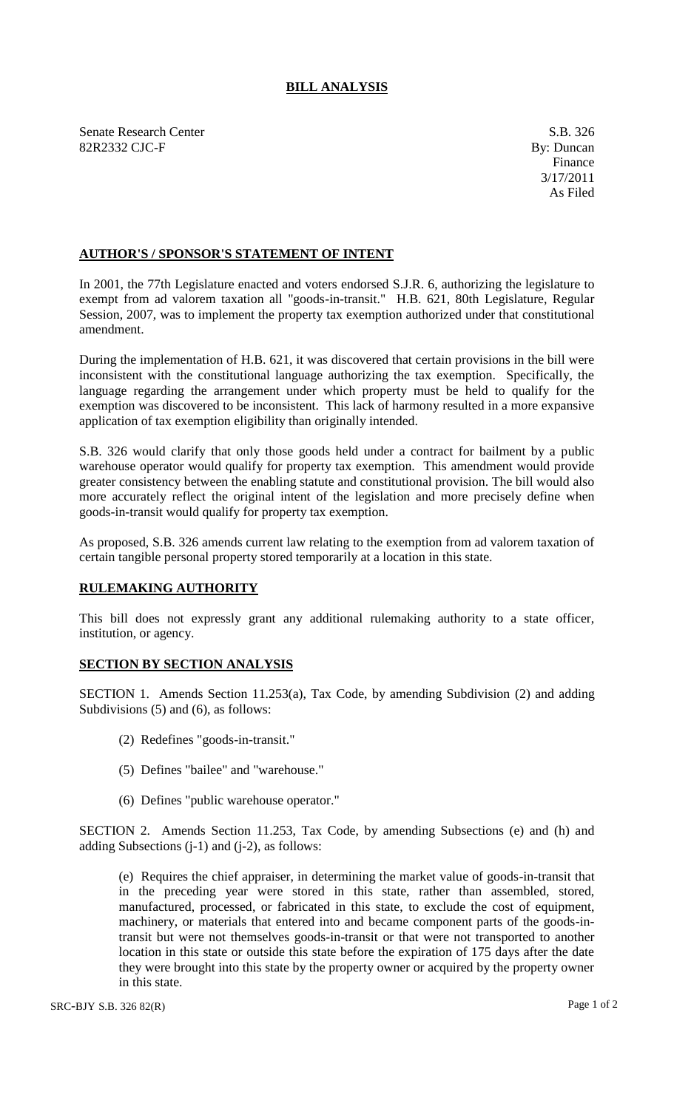## **BILL ANALYSIS**

Senate Research Center S.B. 326 82R2332 CJC-F By: Duncan

## **AUTHOR'S / SPONSOR'S STATEMENT OF INTENT**

In 2001, the 77th Legislature enacted and voters endorsed S.J.R. 6, authorizing the legislature to exempt from ad valorem taxation all "goods-in-transit." H.B. 621, 80th Legislature, Regular Session, 2007, was to implement the property tax exemption authorized under that constitutional amendment.

During the implementation of H.B. 621, it was discovered that certain provisions in the bill were inconsistent with the constitutional language authorizing the tax exemption. Specifically, the language regarding the arrangement under which property must be held to qualify for the exemption was discovered to be inconsistent. This lack of harmony resulted in a more expansive application of tax exemption eligibility than originally intended.

S.B. 326 would clarify that only those goods held under a contract for bailment by a public warehouse operator would qualify for property tax exemption. This amendment would provide greater consistency between the enabling statute and constitutional provision. The bill would also more accurately reflect the original intent of the legislation and more precisely define when goods-in-transit would qualify for property tax exemption.

As proposed, S.B. 326 amends current law relating to the exemption from ad valorem taxation of certain tangible personal property stored temporarily at a location in this state.

## **RULEMAKING AUTHORITY**

This bill does not expressly grant any additional rulemaking authority to a state officer, institution, or agency.

## **SECTION BY SECTION ANALYSIS**

SECTION 1. Amends Section 11.253(a), Tax Code, by amending Subdivision (2) and adding Subdivisions (5) and (6), as follows:

- (2) Redefines "goods-in-transit."
- (5) Defines "bailee" and "warehouse."
- (6) Defines "public warehouse operator."

SECTION 2. Amends Section 11.253, Tax Code, by amending Subsections (e) and (h) and adding Subsections  $(i-1)$  and  $(i-2)$ , as follows:

(e) Requires the chief appraiser, in determining the market value of goods-in-transit that in the preceding year were stored in this state, rather than assembled, stored, manufactured, processed, or fabricated in this state, to exclude the cost of equipment, machinery, or materials that entered into and became component parts of the goods-intransit but were not themselves goods-in-transit or that were not transported to another location in this state or outside this state before the expiration of 175 days after the date they were brought into this state by the property owner or acquired by the property owner in this state.